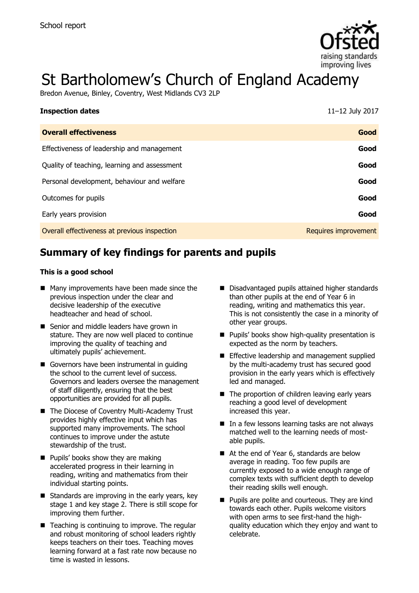

# St Bartholomew's Church of England Academy

Bredon Avenue, Binley, Coventry, West Midlands CV3 2LP

| <b>Inspection dates</b>                      | 11-12 July 2017      |
|----------------------------------------------|----------------------|
| <b>Overall effectiveness</b>                 | Good                 |
| Effectiveness of leadership and management   | Good                 |
| Quality of teaching, learning and assessment | Good                 |
| Personal development, behaviour and welfare  | Good                 |
| Outcomes for pupils                          | Good                 |
| Early years provision                        | Good                 |
| Overall effectiveness at previous inspection | Requires improvement |

# **Summary of key findings for parents and pupils**

#### **This is a good school**

- Many improvements have been made since the previous inspection under the clear and decisive leadership of the executive headteacher and head of school.
- Senior and middle leaders have grown in stature. They are now well placed to continue improving the quality of teaching and ultimately pupils' achievement.
- Governors have been instrumental in quiding the school to the current level of success. Governors and leaders oversee the management of staff diligently, ensuring that the best opportunities are provided for all pupils.
- The Diocese of Coventry Multi-Academy Trust provides highly effective input which has supported many improvements. The school continues to improve under the astute stewardship of the trust.
- **Pupils' books show they are making** accelerated progress in their learning in reading, writing and mathematics from their individual starting points.
- $\blacksquare$  Standards are improving in the early years, key stage 1 and key stage 2. There is still scope for improving them further.
- $\blacksquare$  Teaching is continuing to improve. The regular and robust monitoring of school leaders rightly keeps teachers on their toes. Teaching moves learning forward at a fast rate now because no time is wasted in lessons.
- Disadvantaged pupils attained higher standards than other pupils at the end of Year 6 in reading, writing and mathematics this year. This is not consistently the case in a minority of other year groups.
- **Pupils' books show high-quality presentation is** expected as the norm by teachers.
- **Effective leadership and management supplied** by the multi-academy trust has secured good provision in the early years which is effectively led and managed.
- $\blacksquare$  The proportion of children leaving early years reaching a good level of development increased this year.
- $\blacksquare$  In a few lessons learning tasks are not always matched well to the learning needs of mostable pupils.
- At the end of Year 6, standards are below average in reading. Too few pupils are currently exposed to a wide enough range of complex texts with sufficient depth to develop their reading skills well enough.
- **Pupils are polite and courteous. They are kind** towards each other. Pupils welcome visitors with open arms to see first-hand the highquality education which they enjoy and want to celebrate.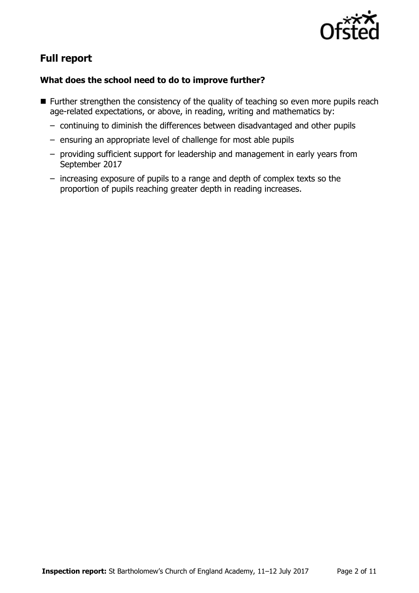

# **Full report**

#### **What does the school need to do to improve further?**

- **Further strengthen the consistency of the quality of teaching so even more pupils reach** age-related expectations, or above, in reading, writing and mathematics by:
	- continuing to diminish the differences between disadvantaged and other pupils
	- ensuring an appropriate level of challenge for most able pupils
	- providing sufficient support for leadership and management in early years from September 2017
	- increasing exposure of pupils to a range and depth of complex texts so the proportion of pupils reaching greater depth in reading increases.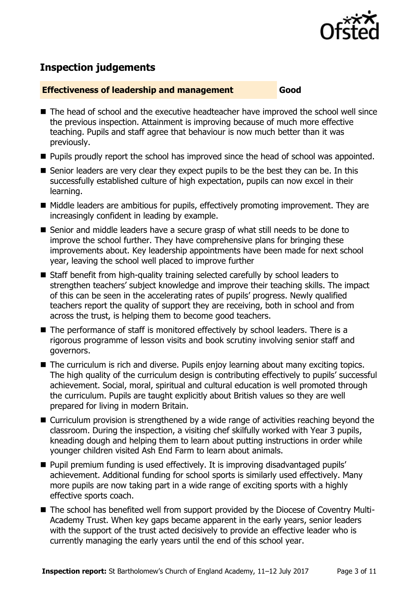

# **Inspection judgements**

#### **Effectiveness of leadership and management Good**

- The head of school and the executive headteacher have improved the school well since the previous inspection. Attainment is improving because of much more effective teaching. Pupils and staff agree that behaviour is now much better than it was previously.
- **Pupils proudly report the school has improved since the head of school was appointed.**
- Senior leaders are very clear they expect pupils to be the best they can be. In this successfully established culture of high expectation, pupils can now excel in their learning.
- Middle leaders are ambitious for pupils, effectively promoting improvement. They are increasingly confident in leading by example.
- Senior and middle leaders have a secure grasp of what still needs to be done to improve the school further. They have comprehensive plans for bringing these improvements about. Key leadership appointments have been made for next school year, leaving the school well placed to improve further
- Staff benefit from high-quality training selected carefully by school leaders to strengthen teachers' subject knowledge and improve their teaching skills. The impact of this can be seen in the accelerating rates of pupils' progress. Newly qualified teachers report the quality of support they are receiving, both in school and from across the trust, is helping them to become good teachers.
- The performance of staff is monitored effectively by school leaders. There is a rigorous programme of lesson visits and book scrutiny involving senior staff and governors.
- The curriculum is rich and diverse. Pupils enjoy learning about many exciting topics. The high quality of the curriculum design is contributing effectively to pupils' successful achievement. Social, moral, spiritual and cultural education is well promoted through the curriculum. Pupils are taught explicitly about British values so they are well prepared for living in modern Britain.
- Curriculum provision is strengthened by a wide range of activities reaching beyond the classroom. During the inspection, a visiting chef skilfully worked with Year 3 pupils, kneading dough and helping them to learn about putting instructions in order while younger children visited Ash End Farm to learn about animals.
- **Pupil premium funding is used effectively. It is improving disadvantaged pupils'** achievement. Additional funding for school sports is similarly used effectively. Many more pupils are now taking part in a wide range of exciting sports with a highly effective sports coach.
- The school has benefited well from support provided by the Diocese of Coventry Multi-Academy Trust. When key gaps became apparent in the early years, senior leaders with the support of the trust acted decisively to provide an effective leader who is currently managing the early years until the end of this school year.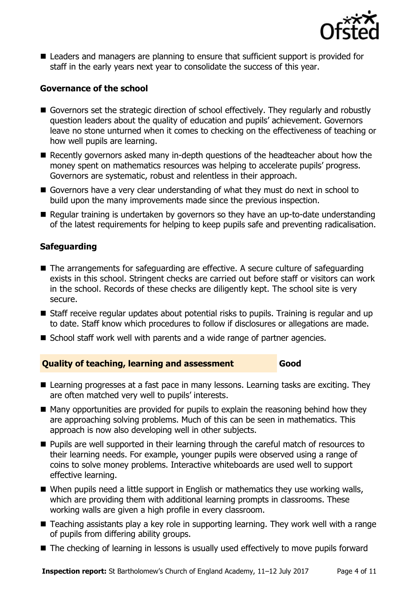

■ Leaders and managers are planning to ensure that sufficient support is provided for staff in the early years next year to consolidate the success of this year.

#### **Governance of the school**

- Governors set the strategic direction of school effectively. They regularly and robustly question leaders about the quality of education and pupils' achievement. Governors leave no stone unturned when it comes to checking on the effectiveness of teaching or how well pupils are learning.
- Recently governors asked many in-depth questions of the headteacher about how the money spent on mathematics resources was helping to accelerate pupils' progress. Governors are systematic, robust and relentless in their approach.
- Governors have a very clear understanding of what they must do next in school to build upon the many improvements made since the previous inspection.
- Regular training is undertaken by governors so they have an up-to-date understanding of the latest requirements for helping to keep pupils safe and preventing radicalisation.

### **Safeguarding**

- The arrangements for safeguarding are effective. A secure culture of safeguarding exists in this school. Stringent checks are carried out before staff or visitors can work in the school. Records of these checks are diligently kept. The school site is very secure.
- Staff receive regular updates about potential risks to pupils. Training is regular and up to date. Staff know which procedures to follow if disclosures or allegations are made.
- School staff work well with parents and a wide range of partner agencies.

#### **Quality of teaching, learning and assessment Good**

- Learning progresses at a fast pace in many lessons. Learning tasks are exciting. They are often matched very well to pupils' interests.
- $\blacksquare$  Many opportunities are provided for pupils to explain the reasoning behind how they are approaching solving problems. Much of this can be seen in mathematics. This approach is now also developing well in other subjects.
- **Pupils are well supported in their learning through the careful match of resources to** their learning needs. For example, younger pupils were observed using a range of coins to solve money problems. Interactive whiteboards are used well to support effective learning.
- When pupils need a little support in English or mathematics they use working walls, which are providing them with additional learning prompts in classrooms. These working walls are given a high profile in every classroom.
- Teaching assistants play a key role in supporting learning. They work well with a range of pupils from differing ability groups.
- The checking of learning in lessons is usually used effectively to move pupils forward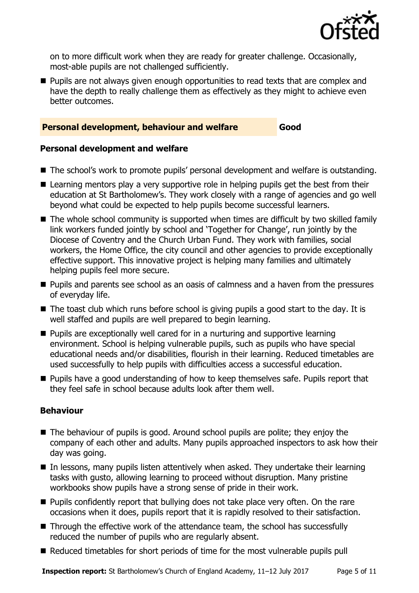

on to more difficult work when they are ready for greater challenge. Occasionally, most-able pupils are not challenged sufficiently.

**Pupils are not always given enough opportunities to read texts that are complex and** have the depth to really challenge them as effectively as they might to achieve even better outcomes.

#### **Personal development, behaviour and welfare Good**

#### **Personal development and welfare**

- The school's work to promote pupils' personal development and welfare is outstanding.
- Learning mentors play a very supportive role in helping pupils get the best from their education at St Bartholomew's. They work closely with a range of agencies and go well beyond what could be expected to help pupils become successful learners.
- The whole school community is supported when times are difficult by two skilled family link workers funded jointly by school and 'Together for Change', run jointly by the Diocese of Coventry and the Church Urban Fund. They work with families, social workers, the Home Office, the city council and other agencies to provide exceptionally effective support. This innovative project is helping many families and ultimately helping pupils feel more secure.
- **Pupils and parents see school as an oasis of calmness and a haven from the pressures** of everyday life.
- $\blacksquare$  The toast club which runs before school is giving pupils a good start to the day. It is well staffed and pupils are well prepared to begin learning.
- **Pupils are exceptionally well cared for in a nurturing and supportive learning** environment. School is helping vulnerable pupils, such as pupils who have special educational needs and/or disabilities, flourish in their learning. Reduced timetables are used successfully to help pupils with difficulties access a successful education.
- **Pupils have a good understanding of how to keep themselves safe. Pupils report that** they feel safe in school because adults look after them well.

#### **Behaviour**

- The behaviour of pupils is good. Around school pupils are polite; they enjoy the company of each other and adults. Many pupils approached inspectors to ask how their day was going.
- $\blacksquare$  In lessons, many pupils listen attentively when asked. They undertake their learning tasks with gusto, allowing learning to proceed without disruption. Many pristine workbooks show pupils have a strong sense of pride in their work.
- **Pupils confidently report that bullying does not take place very often. On the rare** occasions when it does, pupils report that it is rapidly resolved to their satisfaction.
- Through the effective work of the attendance team, the school has successfully reduced the number of pupils who are regularly absent.
- Reduced timetables for short periods of time for the most vulnerable pupils pull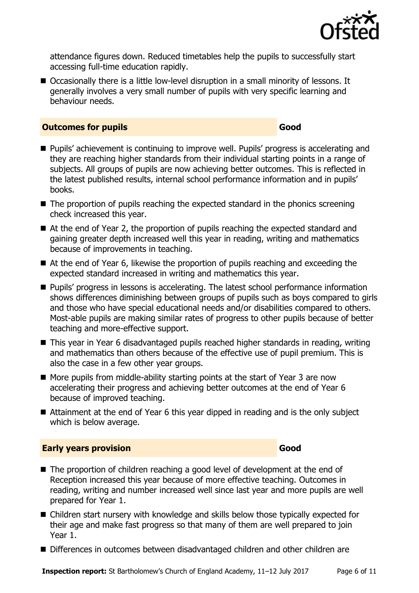

attendance figures down. Reduced timetables help the pupils to successfully start accessing full-time education rapidly.

■ Occasionally there is a little low-level disruption in a small minority of lessons. It generally involves a very small number of pupils with very specific learning and behaviour needs.

#### **Outcomes for pupils Good Good**

- **Pupils'** achievement is continuing to improve well. Pupils' progress is accelerating and they are reaching higher standards from their individual starting points in a range of subjects. All groups of pupils are now achieving better outcomes. This is reflected in the latest published results, internal school performance information and in pupils' books.
- $\blacksquare$  The proportion of pupils reaching the expected standard in the phonics screening check increased this year.
- At the end of Year 2, the proportion of pupils reaching the expected standard and gaining greater depth increased well this year in reading, writing and mathematics because of improvements in teaching.
- At the end of Year 6, likewise the proportion of pupils reaching and exceeding the expected standard increased in writing and mathematics this year.
- **Pupils' progress in lessons is accelerating. The latest school performance information** shows differences diminishing between groups of pupils such as boys compared to girls and those who have special educational needs and/or disabilities compared to others. Most-able pupils are making similar rates of progress to other pupils because of better teaching and more-effective support.
- This year in Year 6 disadvantaged pupils reached higher standards in reading, writing and mathematics than others because of the effective use of pupil premium. This is also the case in a few other year groups.
- $\blacksquare$  More pupils from middle-ability starting points at the start of Year 3 are now accelerating their progress and achieving better outcomes at the end of Year 6 because of improved teaching.
- Attainment at the end of Year 6 this year dipped in reading and is the only subject which is below average.

#### **Early years provision Good Good**

#### ■ The proportion of children reaching a good level of development at the end of Reception increased this year because of more effective teaching. Outcomes in reading, writing and number increased well since last year and more pupils are well prepared for Year 1.

- Children start nursery with knowledge and skills below those typically expected for their age and make fast progress so that many of them are well prepared to join Year 1.
- Differences in outcomes between disadvantaged children and other children are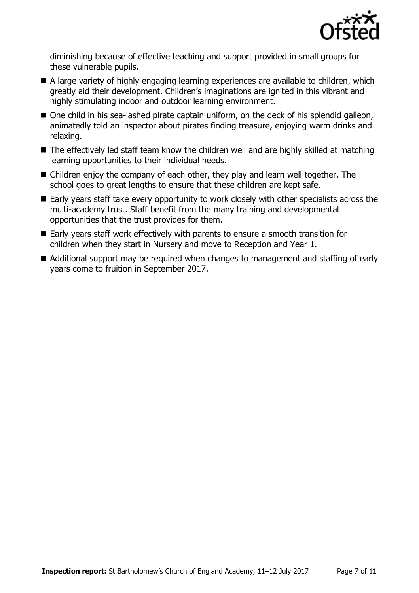

diminishing because of effective teaching and support provided in small groups for these vulnerable pupils.

- A large variety of highly engaging learning experiences are available to children, which greatly aid their development. Children's imaginations are ignited in this vibrant and highly stimulating indoor and outdoor learning environment.
- One child in his sea-lashed pirate captain uniform, on the deck of his splendid galleon, animatedly told an inspector about pirates finding treasure, enjoying warm drinks and relaxing.
- The effectively led staff team know the children well and are highly skilled at matching learning opportunities to their individual needs.
- Children enjoy the company of each other, they play and learn well together. The school goes to great lengths to ensure that these children are kept safe.
- Early years staff take every opportunity to work closely with other specialists across the multi-academy trust. Staff benefit from the many training and developmental opportunities that the trust provides for them.
- Early years staff work effectively with parents to ensure a smooth transition for children when they start in Nursery and move to Reception and Year 1.
- Additional support may be required when changes to management and staffing of early years come to fruition in September 2017.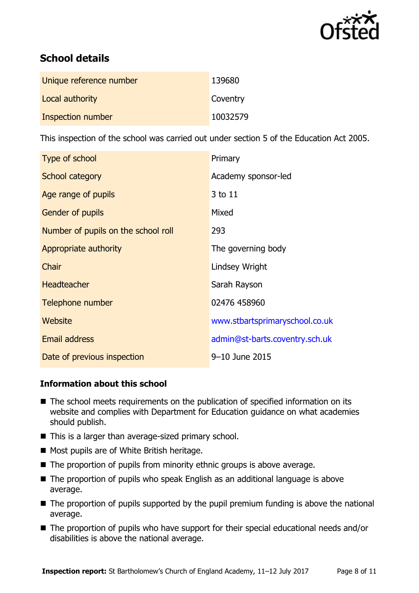

# **School details**

| Unique reference number | 139680   |
|-------------------------|----------|
| Local authority         | Coventry |
| Inspection number       | 10032579 |

This inspection of the school was carried out under section 5 of the Education Act 2005.

| Type of school                      | Primary                        |
|-------------------------------------|--------------------------------|
| School category                     | Academy sponsor-led            |
| Age range of pupils                 | 3 to 11                        |
| <b>Gender of pupils</b>             | Mixed                          |
| Number of pupils on the school roll | 293                            |
| Appropriate authority               | The governing body             |
| Chair                               | Lindsey Wright                 |
| <b>Headteacher</b>                  | Sarah Rayson                   |
| Telephone number                    | 02476 458960                   |
| Website                             | www.stbartsprimaryschool.co.uk |
| <b>Email address</b>                | admin@st-barts.coventry.sch.uk |
| Date of previous inspection         | 9-10 June 2015                 |

#### **Information about this school**

- The school meets requirements on the publication of specified information on its website and complies with Department for Education guidance on what academies should publish.
- This is a larger than average-sized primary school.
- Most pupils are of White British heritage.
- $\blacksquare$  The proportion of pupils from minority ethnic groups is above average.
- The proportion of pupils who speak English as an additional language is above average.
- The proportion of pupils supported by the pupil premium funding is above the national average.
- The proportion of pupils who have support for their special educational needs and/or disabilities is above the national average.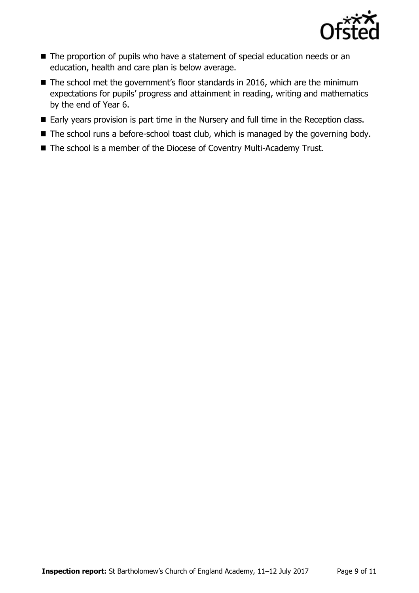

- The proportion of pupils who have a statement of special education needs or an education, health and care plan is below average.
- The school met the government's floor standards in 2016, which are the minimum expectations for pupils' progress and attainment in reading, writing and mathematics by the end of Year 6.
- Early years provision is part time in the Nursery and full time in the Reception class.
- The school runs a before-school toast club, which is managed by the governing body.
- The school is a member of the Diocese of Coventry Multi-Academy Trust.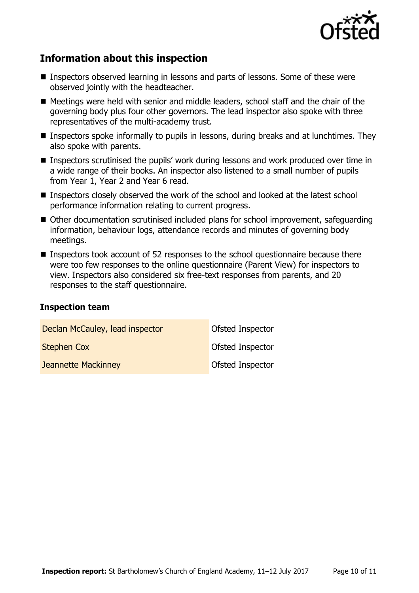

## **Information about this inspection**

- Inspectors observed learning in lessons and parts of lessons. Some of these were observed jointly with the headteacher.
- Meetings were held with senior and middle leaders, school staff and the chair of the governing body plus four other governors. The lead inspector also spoke with three representatives of the multi-academy trust.
- Inspectors spoke informally to pupils in lessons, during breaks and at lunchtimes. They also spoke with parents.
- Inspectors scrutinised the pupils' work during lessons and work produced over time in a wide range of their books. An inspector also listened to a small number of pupils from Year 1, Year 2 and Year 6 read.
- Inspectors closely observed the work of the school and looked at the latest school performance information relating to current progress.
- Other documentation scrutinised included plans for school improvement, safequarding information, behaviour logs, attendance records and minutes of governing body meetings.
- Inspectors took account of 52 responses to the school questionnaire because there were too few responses to the online questionnaire (Parent View) for inspectors to view. Inspectors also considered six free-text responses from parents, and 20 responses to the staff questionnaire.

#### **Inspection team**

| Declan McCauley, lead inspector | <b>Ofsted Inspector</b> |
|---------------------------------|-------------------------|
| <b>Stephen Cox</b>              | <b>Ofsted Inspector</b> |
| <b>Jeannette Mackinney</b>      | Ofsted Inspector        |